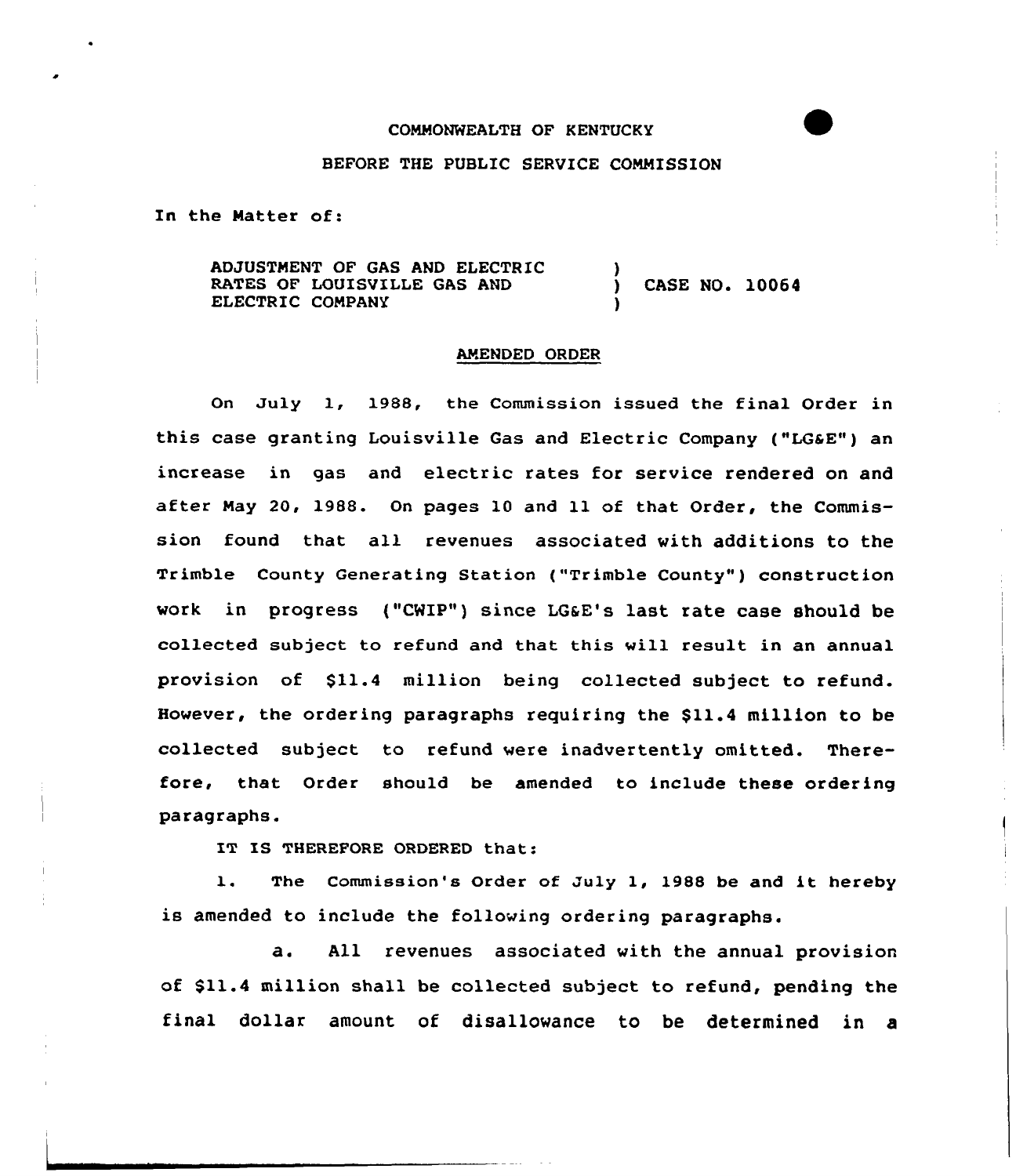## COMMONWEALTH OF KENTUCKY

## BEFORE THE PUBLIC SERVICE COMMISSION

In the Natter of:

ADJUSTMENT OF GAS AND ELECTRIC RATES OF LOUISVILLE GAS AND ELECTRIC COMPANY ) ) CASE NO. 10064 )

## AMENDED ORDER

On July 1, 1988, the Commission issued the final Order in this case granting Louisville Gas and Electric Company ("LGaE") an increase in gas and electric rates for service rendered on and after May 20, 1988. On pages 10 and 11 of that Order, the Commission found that all revenues associated with additions to the Trimble County Generating Station ("Trimble County" ) construction work in progress ("CWIP") since LG&E's last rate case should be collected subject to refund and that this vill result in an annual provision of \$11.4 million being collected subject to refund. However, the ordering paragraphs requiring the \$11.4 million to be collected subject to refund vere inadvertently omitted. Therefore, that Order should be amended to include these ordering paragraphs.

IT IS THEREFORE ORDERED that:

1. The Commission's Order of July 1, 1988 be and it hereby is amended to include the following ordering paragraphs.

a. All revenues associated with the annual provision of \$11.4 million shall be collected subject to refund, pending the final dollar amount of disallowance to be determined in a